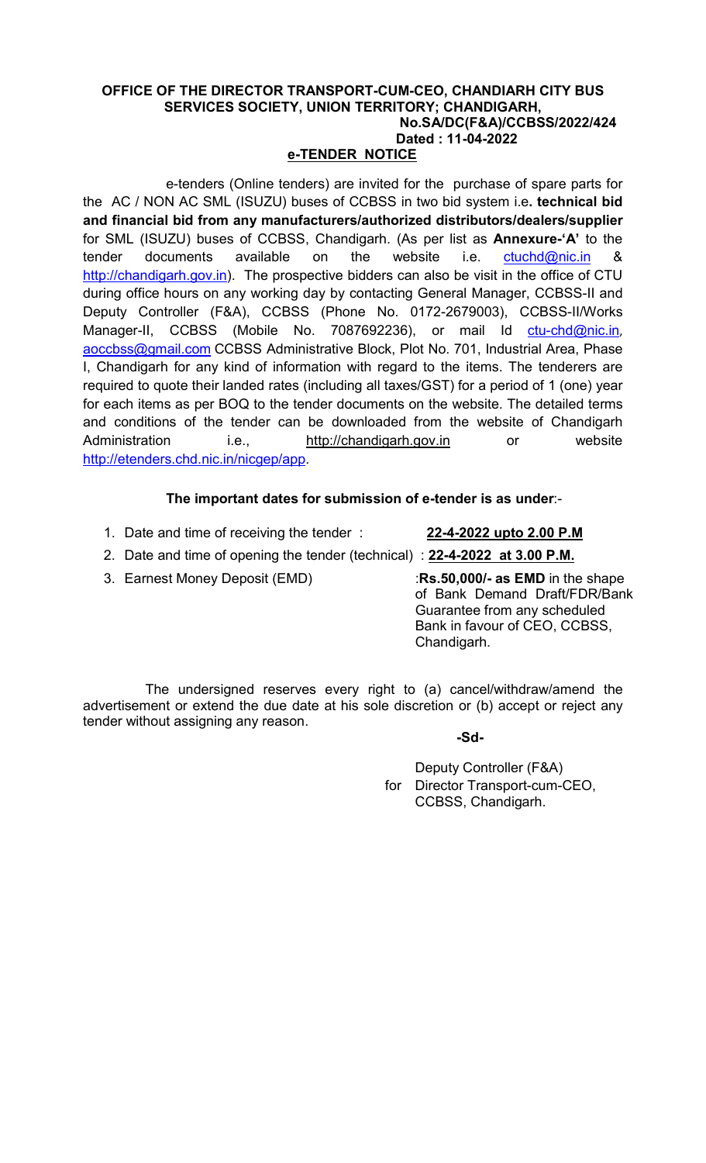### OFFICE OF THE DIRECTOR TRANSPORT-CUM-CEO, CHANDIARH CITY BUS SERVICES SOCIETY, UNION TERRITORY; CHANDIGARH, No.SA/DC(F&A)/CCBSS/2022/424 Dated : 11-04-2022

# e-TENDER NOTICE

e-tenders (Online tenders) are invited for the purchase of spare parts for the AC / NON AC SML (ISUZU) buses of CCBSS in two bid system i.e. technical bid and financial bid from any manufacturers/authorized distributors/dealers/supplier for SML (ISUZU) buses of CCBSS, Chandigarh. (As per list as **Annexure-'A'** to the tender documents available on the website i.e. ctuchd@nic.in & http://chandigarh.gov.in). The prospective bidders can also be visit in the office of CTU during office hours on any working day by contacting General Manager, CCBSS-II and Deputy Controller (F&A), CCBSS (Phone No. 0172-2679003), CCBSS-II/Works Manager-II, CCBSS (Mobile No. 7087692236), or mail Id ctu-chd@nic.in, aoccbss@gmail.com CCBSS Administrative Block, Plot No. 701, Industrial Area, Phase I, Chandigarh for any kind of information with regard to the items. The tenderers are required to quote their landed rates (including all taxes/GST) for a period of 1 (one) year for each items as per BOQ to the tender documents on the website. The detailed terms and conditions of the tender can be downloaded from the website of Chandigarh Administration i.e., http://chandigarh.gov.in or website http://etenders.chd.nic.in/nicgep/app.

# The important dates for submission of e-tender is as under:-

1. Date and time of receiving the tender : 22-4-2022 upto 2.00 P.M

- 2. Date and time of opening the tender (technical) : 22-4-2022 at 3.00 P.M.
- 

3. Earnest Money Deposit (EMD) :Rs.50,000/- as EMD in the shape of Bank Demand Draft/FDR/Bank Guarantee from any scheduled Bank in favour of CEO, CCBSS, Chandigarh.

The undersigned reserves every right to (a) cancel/withdraw/amend the advertisement or extend the due date at his sole discretion or (b) accept or reject any tender without assigning any reason.

-Sd-

 Deputy Controller (F&A) for Director Transport-cum-CEO, CCBSS, Chandigarh.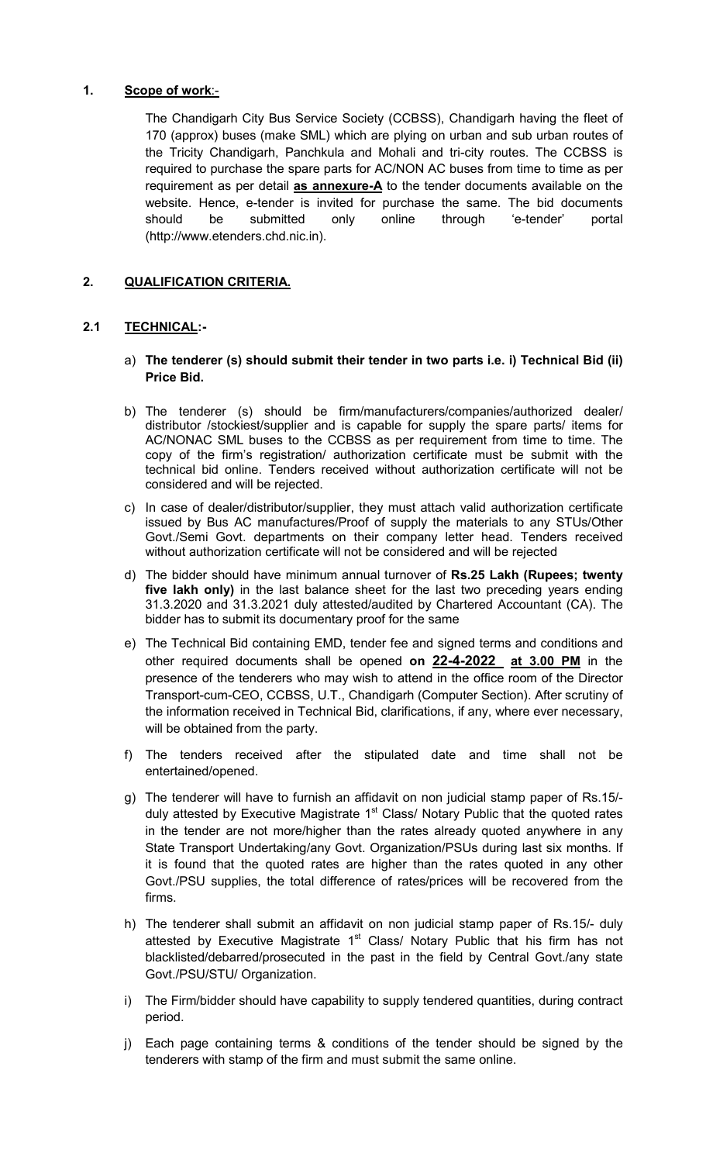#### 1. Scope of work:-

The Chandigarh City Bus Service Society (CCBSS), Chandigarh having the fleet of 170 (approx) buses (make SML) which are plying on urban and sub urban routes of the Tricity Chandigarh, Panchkula and Mohali and tri-city routes. The CCBSS is required to purchase the spare parts for AC/NON AC buses from time to time as per requirement as per detail as annexure-A to the tender documents available on the website. Hence, e-tender is invited for purchase the same. The bid documents should be submitted only online through 'e-tender' portal (http://www.etenders.chd.nic.in).

#### 2. QUALIFICATION CRITERIA.

#### 2.1 TECHNICAL:-

- a) The tenderer (s) should submit their tender in two parts i.e. i) Technical Bid (ii) Price Bid.
- b) The tenderer (s) should be firm/manufacturers/companies/authorized dealer/ distributor /stockiest/supplier and is capable for supply the spare parts/ items for AC/NONAC SML buses to the CCBSS as per requirement from time to time. The copy of the firm's registration/ authorization certificate must be submit with the technical bid online. Tenders received without authorization certificate will not be considered and will be rejected.
- c) In case of dealer/distributor/supplier, they must attach valid authorization certificate issued by Bus AC manufactures/Proof of supply the materials to any STUs/Other Govt./Semi Govt. departments on their company letter head. Tenders received without authorization certificate will not be considered and will be rejected
- d) The bidder should have minimum annual turnover of Rs.25 Lakh (Rupees; twenty five lakh only) in the last balance sheet for the last two preceding years ending 31.3.2020 and 31.3.2021 duly attested/audited by Chartered Accountant (CA). The bidder has to submit its documentary proof for the same
- e) The Technical Bid containing EMD, tender fee and signed terms and conditions and other required documents shall be opened on **22-4-2022** at 3.00 PM in the presence of the tenderers who may wish to attend in the office room of the Director Transport-cum-CEO, CCBSS, U.T., Chandigarh (Computer Section). After scrutiny of the information received in Technical Bid, clarifications, if any, where ever necessary, will be obtained from the party.
- f) The tenders received after the stipulated date and time shall not be entertained/opened.
- g) The tenderer will have to furnish an affidavit on non judicial stamp paper of Rs.15/ duly attested by Executive Magistrate  $1<sup>st</sup>$  Class/ Notary Public that the quoted rates in the tender are not more/higher than the rates already quoted anywhere in any State Transport Undertaking/any Govt. Organization/PSUs during last six months. If it is found that the quoted rates are higher than the rates quoted in any other Govt./PSU supplies, the total difference of rates/prices will be recovered from the firms.
- h) The tenderer shall submit an affidavit on non judicial stamp paper of Rs.15/- duly attested by Executive Magistrate  $1<sup>st</sup>$  Class/ Notary Public that his firm has not blacklisted/debarred/prosecuted in the past in the field by Central Govt./any state Govt./PSU/STU/ Organization.
- i) The Firm/bidder should have capability to supply tendered quantities, during contract period.
- j) Each page containing terms & conditions of the tender should be signed by the tenderers with stamp of the firm and must submit the same online.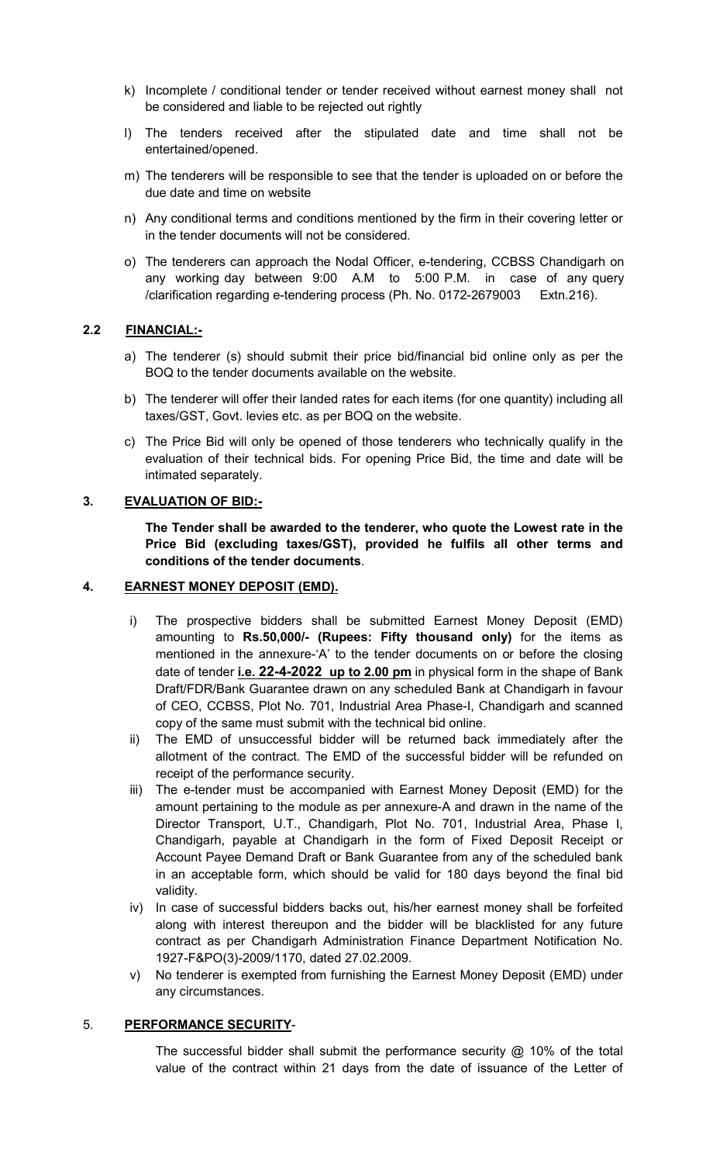- k) Incomplete / conditional tender or tender received without earnest money shall not be considered and liable to be rejected out rightly
- l) The tenders received after the stipulated date and time shall not be entertained/opened.
- m) The tenderers will be responsible to see that the tender is uploaded on or before the due date and time on website
- n) Any conditional terms and conditions mentioned by the firm in their covering letter or in the tender documents will not be considered.
- o) The tenderers can approach the Nodal Officer, e-tendering, CCBSS Chandigarh on any working day between 9:00 A.M to 5:00 P.M. in case of any query /clarification regarding e-tendering process (Ph. No. 0172-2679003 Extn.216).

#### 2.2 FINANCIAL:-

- a) The tenderer (s) should submit their price bid/financial bid online only as per the BOQ to the tender documents available on the website.
- b) The tenderer will offer their landed rates for each items (for one quantity) including all taxes/GST, Govt. levies etc. as per BOQ on the website.
- c) The Price Bid will only be opened of those tenderers who technically qualify in the evaluation of their technical bids. For opening Price Bid, the time and date will be intimated separately.

#### 3. EVALUATION OF BID:-

The Tender shall be awarded to the tenderer, who quote the Lowest rate in the Price Bid (excluding taxes/GST), provided he fulfils all other terms and conditions of the tender documents.

#### 4. EARNEST MONEY DEPOSIT (EMD).

- i) The prospective bidders shall be submitted Earnest Money Deposit (EMD) amounting to Rs.50,000/- (Rupees: Fifty thousand only) for the items as mentioned in the annexure-'A' to the tender documents on or before the closing date of tender i.e. 22-4-2022 up to 2.00 pm in physical form in the shape of Bank Draft/FDR/Bank Guarantee drawn on any scheduled Bank at Chandigarh in favour of CEO, CCBSS, Plot No. 701, Industrial Area Phase-I, Chandigarh and scanned copy of the same must submit with the technical bid online.
- ii) The EMD of unsuccessful bidder will be returned back immediately after the allotment of the contract. The EMD of the successful bidder will be refunded on receipt of the performance security.
- iii) The e-tender must be accompanied with Earnest Money Deposit (EMD) for the amount pertaining to the module as per annexure-A and drawn in the name of the Director Transport, U.T., Chandigarh, Plot No. 701, Industrial Area, Phase I, Chandigarh, payable at Chandigarh in the form of Fixed Deposit Receipt or Account Payee Demand Draft or Bank Guarantee from any of the scheduled bank in an acceptable form, which should be valid for 180 days beyond the final bid validity.
- iv) In case of successful bidders backs out, his/her earnest money shall be forfeited along with interest thereupon and the bidder will be blacklisted for any future contract as per Chandigarh Administration Finance Department Notification No. 1927-F&PO(3)-2009/1170, dated 27.02.2009.
- v) No tenderer is exempted from furnishing the Earnest Money Deposit (EMD) under any circumstances.

### 5. PERFORMANCE SECURITY-

The successful bidder shall submit the performance security @ 10% of the total value of the contract within 21 days from the date of issuance of the Letter of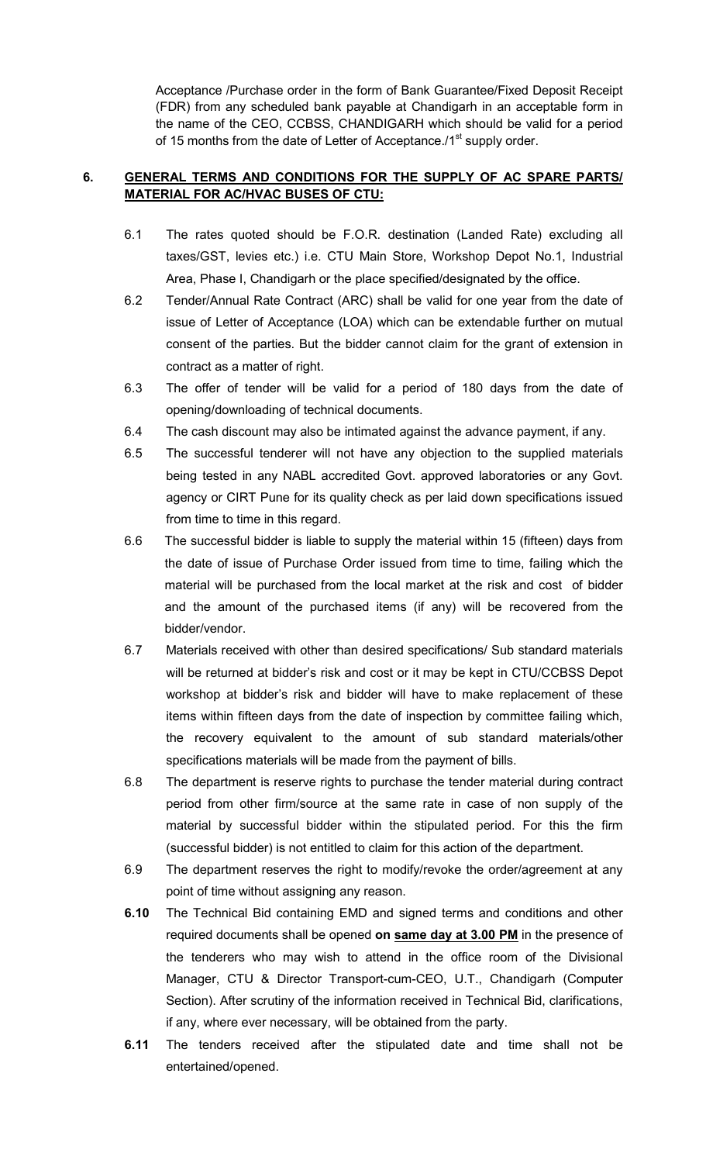Acceptance /Purchase order in the form of Bank Guarantee/Fixed Deposit Receipt (FDR) from any scheduled bank payable at Chandigarh in an acceptable form in the name of the CEO, CCBSS, CHANDIGARH which should be valid for a period of 15 months from the date of Letter of Acceptance./1<sup>st</sup> supply order.

### 6. GENERAL TERMS AND CONDITIONS FOR THE SUPPLY OF AC SPARE PARTS/ MATERIAL FOR AC/HVAC BUSES OF CTU:

- 6.1 The rates quoted should be F.O.R. destination (Landed Rate) excluding all taxes/GST, levies etc.) i.e. CTU Main Store, Workshop Depot No.1, Industrial Area, Phase I, Chandigarh or the place specified/designated by the office.
- 6.2 Tender/Annual Rate Contract (ARC) shall be valid for one year from the date of issue of Letter of Acceptance (LOA) which can be extendable further on mutual consent of the parties. But the bidder cannot claim for the grant of extension in contract as a matter of right.
- 6.3 The offer of tender will be valid for a period of 180 days from the date of opening/downloading of technical documents.
- 6.4 The cash discount may also be intimated against the advance payment, if any.
- 6.5 The successful tenderer will not have any objection to the supplied materials being tested in any NABL accredited Govt. approved laboratories or any Govt. agency or CIRT Pune for its quality check as per laid down specifications issued from time to time in this regard.
- 6.6 The successful bidder is liable to supply the material within 15 (fifteen) days from the date of issue of Purchase Order issued from time to time, failing which the material will be purchased from the local market at the risk and cost of bidder and the amount of the purchased items (if any) will be recovered from the bidder/vendor.
- 6.7 Materials received with other than desired specifications/ Sub standard materials will be returned at bidder's risk and cost or it may be kept in CTU/CCBSS Depot workshop at bidder's risk and bidder will have to make replacement of these items within fifteen days from the date of inspection by committee failing which, the recovery equivalent to the amount of sub standard materials/other specifications materials will be made from the payment of bills.
- 6.8 The department is reserve rights to purchase the tender material during contract period from other firm/source at the same rate in case of non supply of the material by successful bidder within the stipulated period. For this the firm (successful bidder) is not entitled to claim for this action of the department.
- 6.9 The department reserves the right to modify/revoke the order/agreement at any point of time without assigning any reason.
- 6.10 The Technical Bid containing EMD and signed terms and conditions and other required documents shall be opened on same day at 3.00 PM in the presence of the tenderers who may wish to attend in the office room of the Divisional Manager, CTU & Director Transport-cum-CEO, U.T., Chandigarh (Computer Section). After scrutiny of the information received in Technical Bid, clarifications, if any, where ever necessary, will be obtained from the party.
- 6.11 The tenders received after the stipulated date and time shall not be entertained/opened.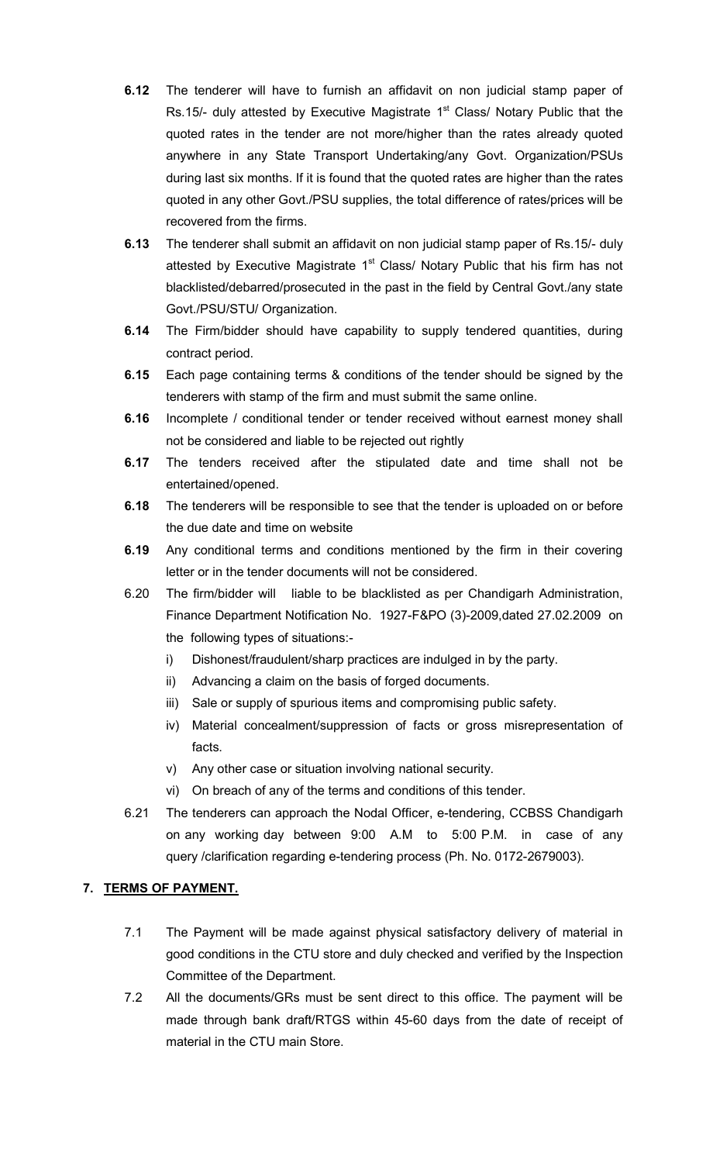- **6.12** The tenderer will have to furnish an affidavit on non judicial stamp paper of Rs.15/- duly attested by Executive Magistrate  $1<sup>st</sup>$  Class/ Notary Public that the quoted rates in the tender are not more/higher than the rates already quoted anywhere in any State Transport Undertaking/any Govt. Organization/PSUs during last six months. If it is found that the quoted rates are higher than the rates quoted in any other Govt./PSU supplies, the total difference of rates/prices will be recovered from the firms.
- 6.13 The tenderer shall submit an affidavit on non judicial stamp paper of Rs.15/- duly attested by Executive Magistrate 1<sup>st</sup> Class/ Notary Public that his firm has not blacklisted/debarred/prosecuted in the past in the field by Central Govt./any state Govt./PSU/STU/ Organization.
- **6.14** The Firm/bidder should have capability to supply tendered quantities, during contract period.
- **6.15** Each page containing terms & conditions of the tender should be signed by the tenderers with stamp of the firm and must submit the same online.
- 6.16 Incomplete / conditional tender or tender received without earnest money shall not be considered and liable to be rejected out rightly
- **6.17** The tenders received after the stipulated date and time shall not be entertained/opened.
- **6.18** The tenderers will be responsible to see that the tender is uploaded on or before the due date and time on website
- **6.19** Any conditional terms and conditions mentioned by the firm in their covering letter or in the tender documents will not be considered.
- 6.20 The firm/bidder will liable to be blacklisted as per Chandigarh Administration, Finance Department Notification No. 1927-F&PO (3)-2009,dated 27.02.2009 on the following types of situations:
	- i) Dishonest/fraudulent/sharp practices are indulged in by the party.
	- ii) Advancing a claim on the basis of forged documents.
	- iii) Sale or supply of spurious items and compromising public safety.
	- iv) Material concealment/suppression of facts or gross misrepresentation of facts.
	- v) Any other case or situation involving national security.
	- vi) On breach of any of the terms and conditions of this tender.
- 6.21 The tenderers can approach the Nodal Officer, e-tendering, CCBSS Chandigarh on any working day between 9:00 A.M to 5:00 P.M. in case of any query /clarification regarding e-tendering process (Ph. No. 0172-2679003).

# 7. TERMS OF PAYMENT.

- 7.1 The Payment will be made against physical satisfactory delivery of material in good conditions in the CTU store and duly checked and verified by the Inspection Committee of the Department.
- 7.2 All the documents/GRs must be sent direct to this office. The payment will be made through bank draft/RTGS within 45-60 days from the date of receipt of material in the CTU main Store.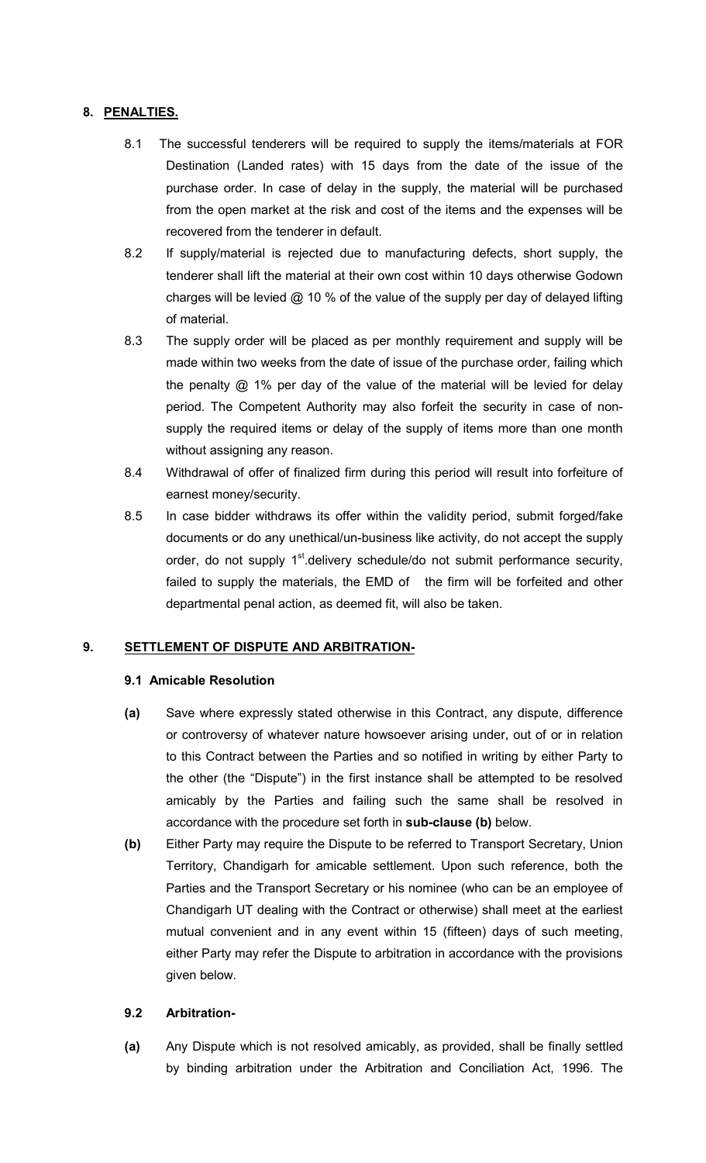#### 8. PENALTIES.

- 8.1 The successful tenderers will be required to supply the items/materials at FOR Destination (Landed rates) with 15 days from the date of the issue of the purchase order. In case of delay in the supply, the material will be purchased from the open market at the risk and cost of the items and the expenses will be recovered from the tenderer in default.
- 8.2 If supply/material is rejected due to manufacturing defects, short supply, the tenderer shall lift the material at their own cost within 10 days otherwise Godown charges will be levied  $@$  10 % of the value of the supply per day of delayed lifting of material.
- 8.3 The supply order will be placed as per monthly requirement and supply will be made within two weeks from the date of issue of the purchase order, failing which the penalty  $@$  1% per day of the value of the material will be levied for delay period. The Competent Authority may also forfeit the security in case of nonsupply the required items or delay of the supply of items more than one month without assigning any reason.
- 8.4 Withdrawal of offer of finalized firm during this period will result into forfeiture of earnest money/security.
- 8.5 In case bidder withdraws its offer within the validity period, submit forged/fake documents or do any unethical/un-business like activity, do not accept the supply order, do not supply 1<sup>st</sup>.delivery schedule/do not submit performance security, failed to supply the materials, the EMD of the firm will be forfeited and other departmental penal action, as deemed fit, will also be taken.

### 9. SETTLEMENT OF DISPUTE AND ARBITRATION-

### 9.1 Amicable Resolution

- (a) Save where expressly stated otherwise in this Contract, any dispute, difference or controversy of whatever nature howsoever arising under, out of or in relation to this Contract between the Parties and so notified in writing by either Party to the other (the "Dispute") in the first instance shall be attempted to be resolved amicably by the Parties and failing such the same shall be resolved in accordance with the procedure set forth in sub-clause (b) below.
- (b) Either Party may require the Dispute to be referred to Transport Secretary, Union Territory, Chandigarh for amicable settlement. Upon such reference, both the Parties and the Transport Secretary or his nominee (who can be an employee of Chandigarh UT dealing with the Contract or otherwise) shall meet at the earliest mutual convenient and in any event within 15 (fifteen) days of such meeting, either Party may refer the Dispute to arbitration in accordance with the provisions given below.

#### 9.2 Arbitration-

(a) Any Dispute which is not resolved amicably, as provided, shall be finally settled by binding arbitration under the Arbitration and Conciliation Act, 1996. The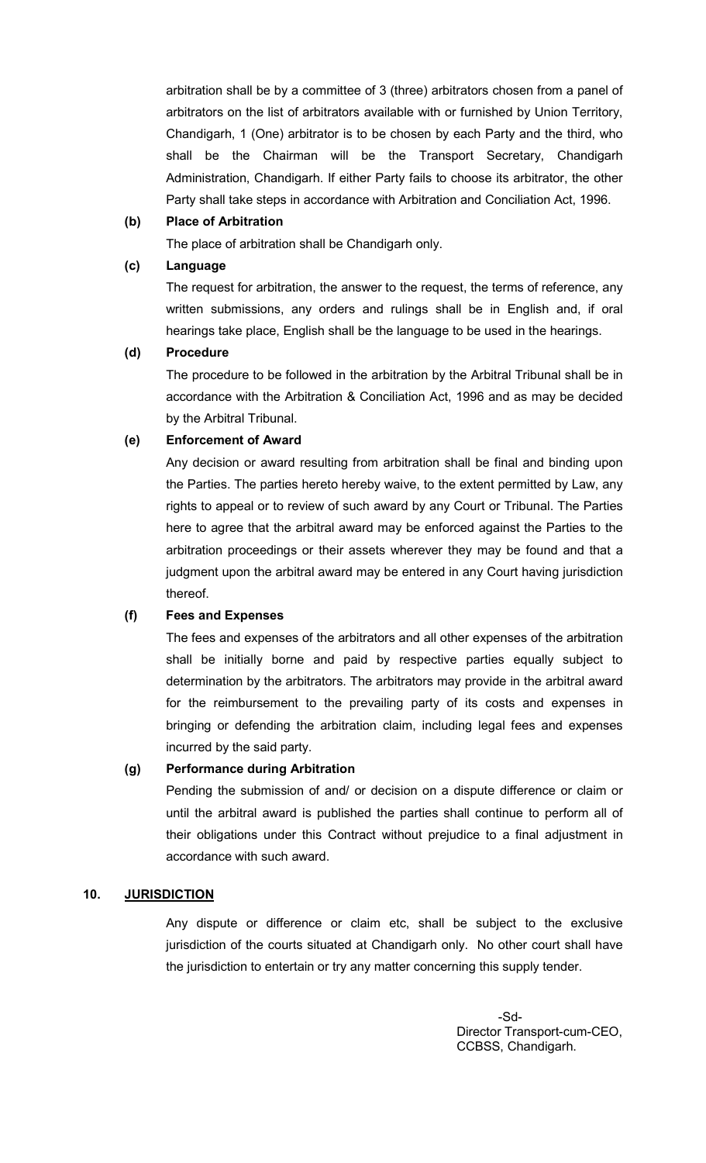arbitration shall be by a committee of 3 (three) arbitrators chosen from a panel of arbitrators on the list of arbitrators available with or furnished by Union Territory, Chandigarh, 1 (One) arbitrator is to be chosen by each Party and the third, who shall be the Chairman will be the Transport Secretary, Chandigarh Administration, Chandigarh. If either Party fails to choose its arbitrator, the other Party shall take steps in accordance with Arbitration and Conciliation Act, 1996.

#### (b) Place of Arbitration

The place of arbitration shall be Chandigarh only.

#### (c) Language

The request for arbitration, the answer to the request, the terms of reference, any written submissions, any orders and rulings shall be in English and, if oral hearings take place, English shall be the language to be used in the hearings.

#### (d) Procedure

The procedure to be followed in the arbitration by the Arbitral Tribunal shall be in accordance with the Arbitration & Conciliation Act, 1996 and as may be decided by the Arbitral Tribunal.

### (e) Enforcement of Award

Any decision or award resulting from arbitration shall be final and binding upon the Parties. The parties hereto hereby waive, to the extent permitted by Law, any rights to appeal or to review of such award by any Court or Tribunal. The Parties here to agree that the arbitral award may be enforced against the Parties to the arbitration proceedings or their assets wherever they may be found and that a judgment upon the arbitral award may be entered in any Court having jurisdiction thereof.

### (f) Fees and Expenses

The fees and expenses of the arbitrators and all other expenses of the arbitration shall be initially borne and paid by respective parties equally subject to determination by the arbitrators. The arbitrators may provide in the arbitral award for the reimbursement to the prevailing party of its costs and expenses in bringing or defending the arbitration claim, including legal fees and expenses incurred by the said party.

### (g) Performance during Arbitration

Pending the submission of and/ or decision on a dispute difference or claim or until the arbitral award is published the parties shall continue to perform all of their obligations under this Contract without prejudice to a final adjustment in accordance with such award.

#### 10. JURISDICTION

Any dispute or difference or claim etc, shall be subject to the exclusive jurisdiction of the courts situated at Chandigarh only. No other court shall have the jurisdiction to entertain or try any matter concerning this supply tender.

 -Sd- Director Transport-cum-CEO, CCBSS, Chandigarh.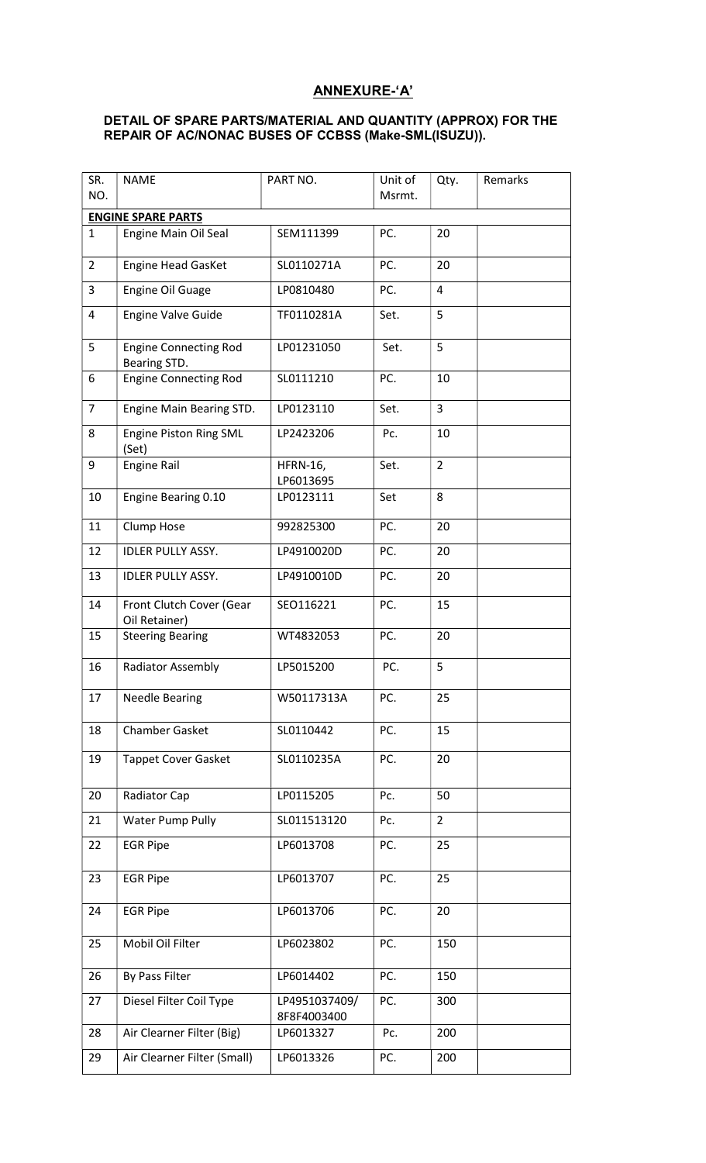# ANNEXURE-'A'

#### DETAIL OF SPARE PARTS/MATERIAL AND QUANTITY (APPROX) FOR THE REPAIR OF AC/NONAC BUSES OF CCBSS (Make-SML(ISUZU)).

| SR.<br>NO.     | <b>NAME</b>                                  | PART NO.                     | Unit of<br>Msrmt. | Qty.           | Remarks |
|----------------|----------------------------------------------|------------------------------|-------------------|----------------|---------|
|                | <b>ENGINE SPARE PARTS</b>                    |                              |                   |                |         |
| $\mathbf{1}$   | Engine Main Oil Seal                         | SEM111399                    | PC.               | 20             |         |
| $\overline{2}$ | <b>Engine Head GasKet</b>                    | SL0110271A                   | PC.               | 20             |         |
| 3              | <b>Engine Oil Guage</b>                      | LP0810480                    | PC.               | $\overline{4}$ |         |
| 4              | <b>Engine Valve Guide</b>                    | TF0110281A                   | Set.              | 5              |         |
| 5              | <b>Engine Connecting Rod</b><br>Bearing STD. | LP01231050                   | Set.              | 5              |         |
| 6              | <b>Engine Connecting Rod</b>                 | SL0111210                    | PC.               | 10             |         |
| $\overline{7}$ | Engine Main Bearing STD.                     | LP0123110                    | Set.              | 3              |         |
| 8              | <b>Engine Piston Ring SML</b><br>(Set)       | LP2423206                    | Pc.               | 10             |         |
| 9              | <b>Engine Rail</b>                           | <b>HFRN-16,</b><br>LP6013695 | Set.              | $\overline{2}$ |         |
| 10             | Engine Bearing 0.10                          | LP0123111                    | Set               | 8              |         |
| 11             | Clump Hose                                   | 992825300                    | PC.               | 20             |         |
| 12             | <b>IDLER PULLY ASSY.</b>                     | LP4910020D                   | PC.               | 20             |         |
| 13             | <b>IDLER PULLY ASSY.</b>                     | LP4910010D                   | PC.               | 20             |         |
| 14             | Front Clutch Cover (Gear<br>Oil Retainer)    | SEO116221                    | PC.               | 15             |         |
| 15             | <b>Steering Bearing</b>                      | WT4832053                    | PC.               | 20             |         |
| 16             | <b>Radiator Assembly</b>                     | LP5015200                    | PC.               | 5              |         |
| 17             | <b>Needle Bearing</b>                        | W50117313A                   | PC.               | 25             |         |
| 18             | <b>Chamber Gasket</b>                        | SL0110442                    | PC.               | 15             |         |
| 19             | <b>Tappet Cover Gasket</b>                   | SL0110235A                   | PC.               | 20             |         |
| 20             | Radiator Cap                                 | LP0115205                    | Pc.               | 50             |         |
| 21             | Water Pump Pully                             | SL011513120                  | Pc.               | $\overline{2}$ |         |
| 22             | <b>EGR Pipe</b>                              | LP6013708                    | PC.               | 25             |         |
| 23             | <b>EGR Pipe</b>                              | LP6013707                    | PC.               | 25             |         |
| 24             | <b>EGR Pipe</b>                              | LP6013706                    | PC.               | 20             |         |
| 25             | Mobil Oil Filter                             | LP6023802                    | PC.               | 150            |         |
| 26             | By Pass Filter                               | LP6014402                    | PC.               | 150            |         |
| 27             | Diesel Filter Coil Type                      | LP4951037409/<br>8F8F4003400 | PC.               | 300            |         |
| 28             | Air Clearner Filter (Big)                    | LP6013327                    | Pc.               | 200            |         |
| 29             | Air Clearner Filter (Small)                  | LP6013326                    | PC.               | 200            |         |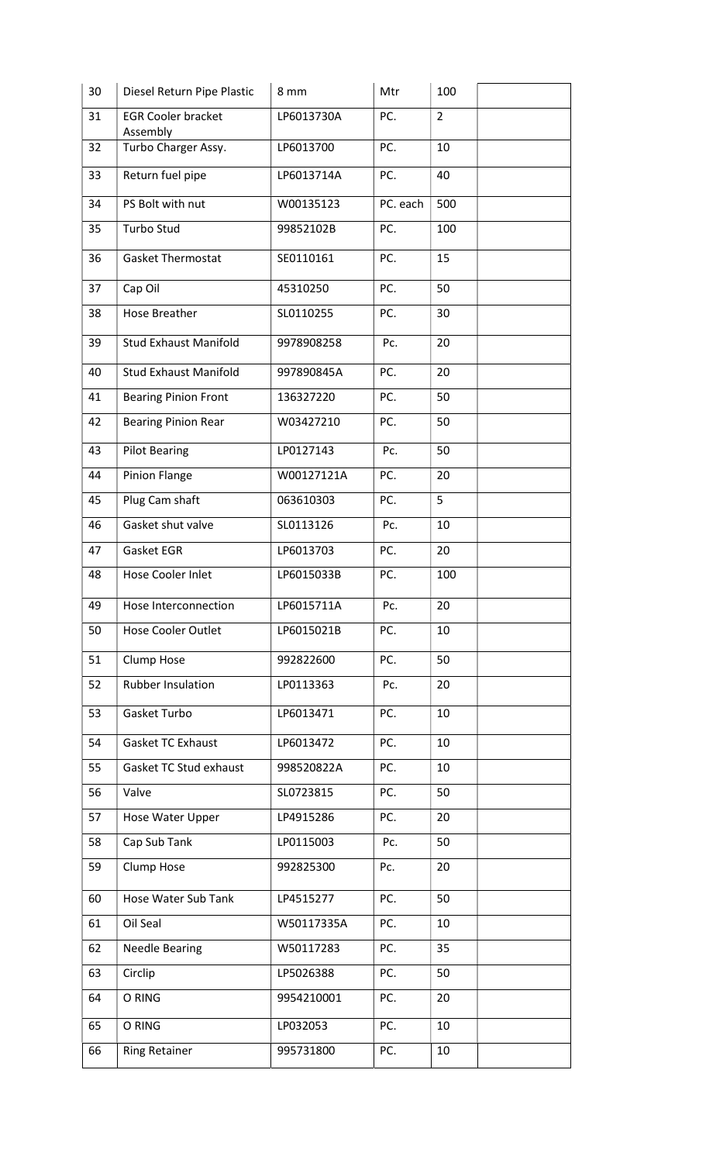| 30 | Diesel Return Pipe Plastic            | 8 mm       | Mtr      | 100            |
|----|---------------------------------------|------------|----------|----------------|
| 31 | <b>EGR Cooler bracket</b><br>Assembly | LP6013730A | PC.      | $\overline{2}$ |
| 32 | Turbo Charger Assy.                   | LP6013700  | PC.      | 10             |
| 33 | Return fuel pipe                      | LP6013714A | PC.      | 40             |
| 34 | PS Bolt with nut                      | W00135123  | PC. each | 500            |
| 35 | Turbo Stud                            | 99852102B  | PC.      | 100            |
| 36 | <b>Gasket Thermostat</b>              | SE0110161  | PC.      | 15             |
| 37 | Cap Oil                               | 45310250   | PC.      | 50             |
| 38 | <b>Hose Breather</b>                  | SL0110255  | PC.      | 30             |
| 39 | <b>Stud Exhaust Manifold</b>          | 9978908258 | Pc.      | 20             |
| 40 | <b>Stud Exhaust Manifold</b>          | 997890845A | PC.      | 20             |
| 41 | <b>Bearing Pinion Front</b>           | 136327220  | PC.      | 50             |
| 42 | <b>Bearing Pinion Rear</b>            | W03427210  | PC.      | 50             |
| 43 | <b>Pilot Bearing</b>                  | LP0127143  | Pc.      | 50             |
| 44 | Pinion Flange                         | W00127121A | PC.      | 20             |
| 45 | Plug Cam shaft                        | 063610303  | PC.      | 5              |
| 46 | Gasket shut valve                     | SL0113126  | Pc.      | 10             |
| 47 | Gasket EGR                            | LP6013703  | PC.      | 20             |
| 48 | Hose Cooler Inlet                     | LP6015033B | PC.      | 100            |
| 49 | Hose Interconnection                  | LP6015711A | Pc.      | 20             |
| 50 | <b>Hose Cooler Outlet</b>             | LP6015021B | PC.      | 10             |
| 51 | Clump Hose                            | 992822600  | PC.      | 50             |
| 52 | <b>Rubber Insulation</b>              | LP0113363  | Pc.      | 20             |
| 53 | Gasket Turbo                          | LP6013471  | PC.      | 10             |
| 54 | <b>Gasket TC Exhaust</b>              | LP6013472  | PC.      | 10             |
| 55 | Gasket TC Stud exhaust                | 998520822A | PC.      | 10             |
| 56 | Valve                                 | SL0723815  | PC.      | 50             |
| 57 | Hose Water Upper                      | LP4915286  | PC.      | 20             |
| 58 | Cap Sub Tank                          | LP0115003  | Pc.      | 50             |
| 59 | Clump Hose                            | 992825300  | Pc.      | 20             |
| 60 | Hose Water Sub Tank                   | LP4515277  | PC.      | 50             |
| 61 | Oil Seal                              | W50117335A | PC.      | 10             |
| 62 | <b>Needle Bearing</b>                 | W50117283  | PC.      | 35             |
| 63 | Circlip                               | LP5026388  | PC.      | 50             |
| 64 | O RING                                | 9954210001 | PC.      | 20             |
| 65 | O RING                                | LP032053   | PC.      | 10             |
| 66 | <b>Ring Retainer</b>                  | 995731800  | PC.      | 10             |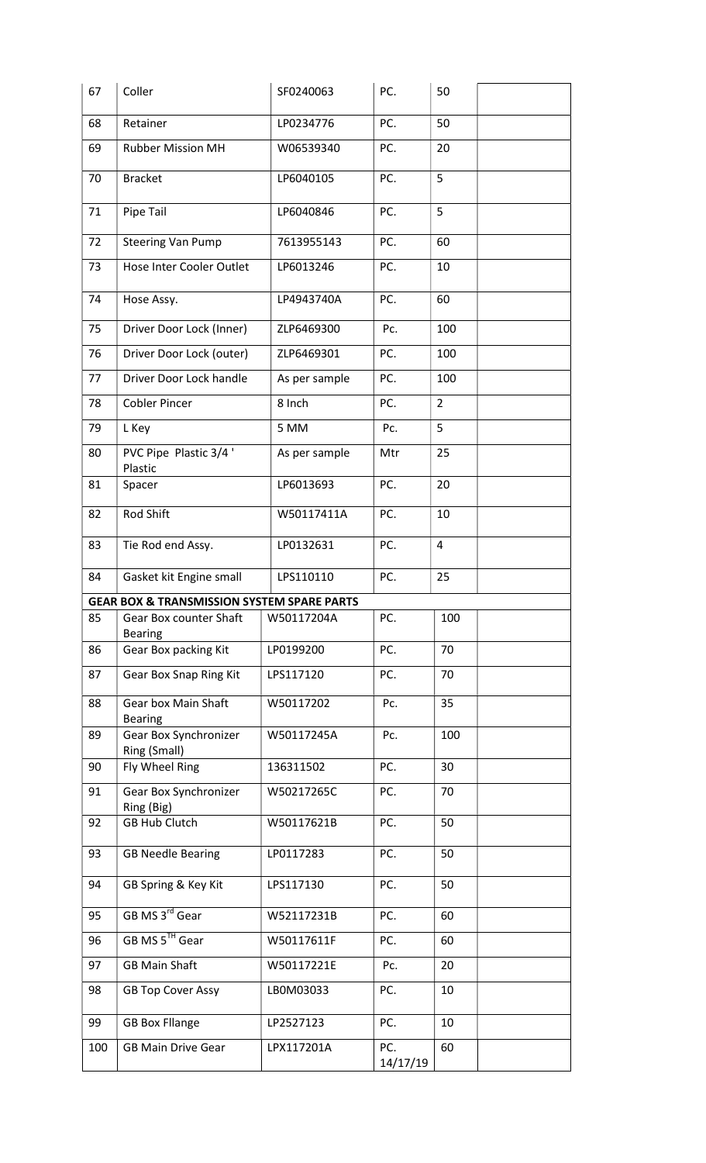| 67  | Coller                                                | SF0240063     | PC.             | 50             |
|-----|-------------------------------------------------------|---------------|-----------------|----------------|
| 68  | Retainer                                              | LP0234776     | PC.             | 50             |
| 69  | <b>Rubber Mission MH</b>                              | W06539340     | PC.             | 20             |
| 70  | <b>Bracket</b>                                        | LP6040105     | PC.             | 5              |
| 71  | Pipe Tail                                             | LP6040846     | PC.             | 5              |
| 72  | <b>Steering Van Pump</b>                              | 7613955143    | PC.             | 60             |
| 73  | Hose Inter Cooler Outlet                              | LP6013246     | PC.             | 10             |
| 74  | Hose Assy.                                            | LP4943740A    | PC.             | 60             |
| 75  | Driver Door Lock (Inner)                              | ZLP6469300    | Pc.             | 100            |
| 76  | Driver Door Lock (outer)                              | ZLP6469301    | PC.             | 100            |
| 77  | Driver Door Lock handle                               | As per sample | PC.             | 100            |
| 78  | <b>Cobler Pincer</b>                                  | 8 Inch        | PC.             | $\overline{2}$ |
| 79  | L Key                                                 | 5 MM          | Pc.             | 5              |
| 80  | PVC Pipe Plastic 3/4'<br>Plastic                      | As per sample | Mtr             | 25             |
| 81  | Spacer                                                | LP6013693     | PC.             | 20             |
| 82  | Rod Shift                                             | W50117411A    | PC.             | 10             |
| 83  | Tie Rod end Assy.                                     | LP0132631     | PC.             | 4              |
| 84  | Gasket kit Engine small                               | LPS110110     | PC.             | 25             |
|     | <b>GEAR BOX &amp; TRANSMISSION SYSTEM SPARE PARTS</b> |               |                 |                |
| 85  | Gear Box counter Shaft<br><b>Bearing</b>              | W50117204A    | PC.             | 100            |
| 86  | Gear Box packing Kit                                  | LP0199200     | PC.             | 70             |
| 87  | Gear Box Snap Ring Kit                                | LPS117120     | PC.             | 70             |
| 88  | <b>Gear box Main Shaft</b><br><b>Bearing</b>          | W50117202     | Pc.             | 35             |
| 89  | Gear Box Synchronizer<br>Ring (Small)                 | W50117245A    | Pc.             | 100            |
| 90  | Fly Wheel Ring                                        | 136311502     | PC.             | 30             |
| 91  | Gear Box Synchronizer<br>Ring (Big)                   | W50217265C    | PC.             | 70             |
| 92  | <b>GB Hub Clutch</b>                                  | W50117621B    | PC.             | 50             |
| 93  | <b>GB Needle Bearing</b>                              | LP0117283     | PC.             | 50             |
| 94  | GB Spring & Key Kit                                   | LPS117130     | PC.             | 50             |
| 95  | GB MS 3 <sup>rd</sup> Gear                            | W52117231B    | PC.             | 60             |
| 96  | GB MS 5TH Gear                                        | W50117611F    | PC.             | 60             |
| 97  | <b>GB Main Shaft</b>                                  | W50117221E    | Pc.             | 20             |
| 98  | <b>GB Top Cover Assy</b>                              | LB0M03033     | PC.             | 10             |
| 99  | <b>GB Box Fllange</b>                                 | LP2527123     | PC.             | 10             |
| 100 | <b>GB Main Drive Gear</b>                             | LPX117201A    | PC.<br>14/17/19 | 60             |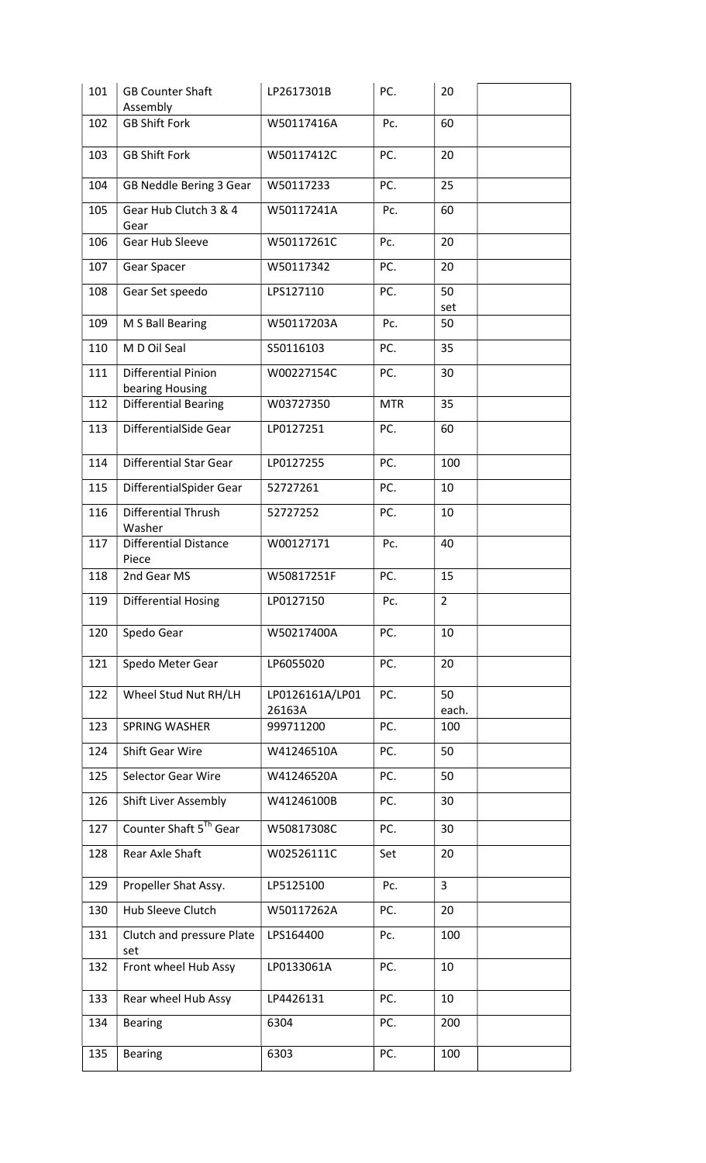| 101 | <b>GB Counter Shaft</b><br>Assembly           | LP2617301B                | PC.        | 20             |
|-----|-----------------------------------------------|---------------------------|------------|----------------|
| 102 | <b>GB Shift Fork</b>                          | W50117416A                | Pc.        | 60             |
| 103 | <b>GB Shift Fork</b>                          | W50117412C                | PC.        | 20             |
| 104 | GB Neddle Bering 3 Gear                       | W50117233                 | PC.        | 25             |
| 105 | Gear Hub Clutch 3 & 4<br>Gear                 | W50117241A                | Pc.        | 60             |
| 106 | Gear Hub Sleeve                               | W50117261C                | Pc.        | 20             |
| 107 | Gear Spacer                                   | W50117342                 | PC.        | 20             |
| 108 | Gear Set speedo                               | LPS127110                 | PC.        | 50<br>set      |
| 109 | M S Ball Bearing                              | W50117203A                | Pc.        | 50             |
| 110 | M D Oil Seal                                  | S50116103                 | PC.        | 35             |
| 111 | <b>Differential Pinion</b><br>bearing Housing | W00227154C                | PC.        | 30             |
| 112 | <b>Differential Bearing</b>                   | W03727350                 | <b>MTR</b> | 35             |
| 113 | DifferentialSide Gear                         | LP0127251                 | PC.        | 60             |
| 114 | <b>Differential Star Gear</b>                 | LP0127255                 | PC.        | 100            |
| 115 | DifferentialSpider Gear                       | 52727261                  | PC.        | 10             |
| 116 | <b>Differential Thrush</b><br>Washer          | 52727252                  | PC.        | 10             |
| 117 | <b>Differential Distance</b><br>Piece         | W00127171                 | Pc.        | 40             |
| 118 | 2nd Gear MS                                   | W50817251F                | PC.        | 15             |
| 119 | <b>Differential Hosing</b>                    | LP0127150                 | Pc.        | $\overline{2}$ |
| 120 | Spedo Gear                                    | W50217400A                | PC.        | 10             |
| 121 | Spedo Meter Gear                              | LP6055020                 | PC.        | 20             |
| 122 | Wheel Stud Nut RH/LH                          | LP0126161A/LP01<br>26163A | PC.        | 50<br>each.    |
| 123 | <b>SPRING WASHER</b>                          | 999711200                 | PC.        | 100            |
| 124 | Shift Gear Wire                               | W41246510A                | PC.        | 50             |
| 125 | Selector Gear Wire                            | W41246520A                | PC.        | 50             |
| 126 | <b>Shift Liver Assembly</b>                   | W41246100B                | PC.        | 30             |
| 127 | Counter Shaft 5 <sup>Th</sup> Gear            | W50817308C                | PC.        | 30             |
| 128 | Rear Axle Shaft                               | W02526111C                | Set        | 20             |
| 129 | Propeller Shat Assy.                          | LP5125100                 | Pc.        | $\mathbf{3}$   |
| 130 | Hub Sleeve Clutch                             | W50117262A                | PC.        | 20             |
| 131 | Clutch and pressure Plate<br>set              | LPS164400                 | Pc.        | 100            |
| 132 | Front wheel Hub Assy                          | LP0133061A                | PC.        | 10             |
| 133 | Rear wheel Hub Assy                           | LP4426131                 | PC.        | 10             |
| 134 | <b>Bearing</b>                                | 6304                      | PC.        | 200            |
| 135 | <b>Bearing</b>                                | 6303                      | PC.        | 100            |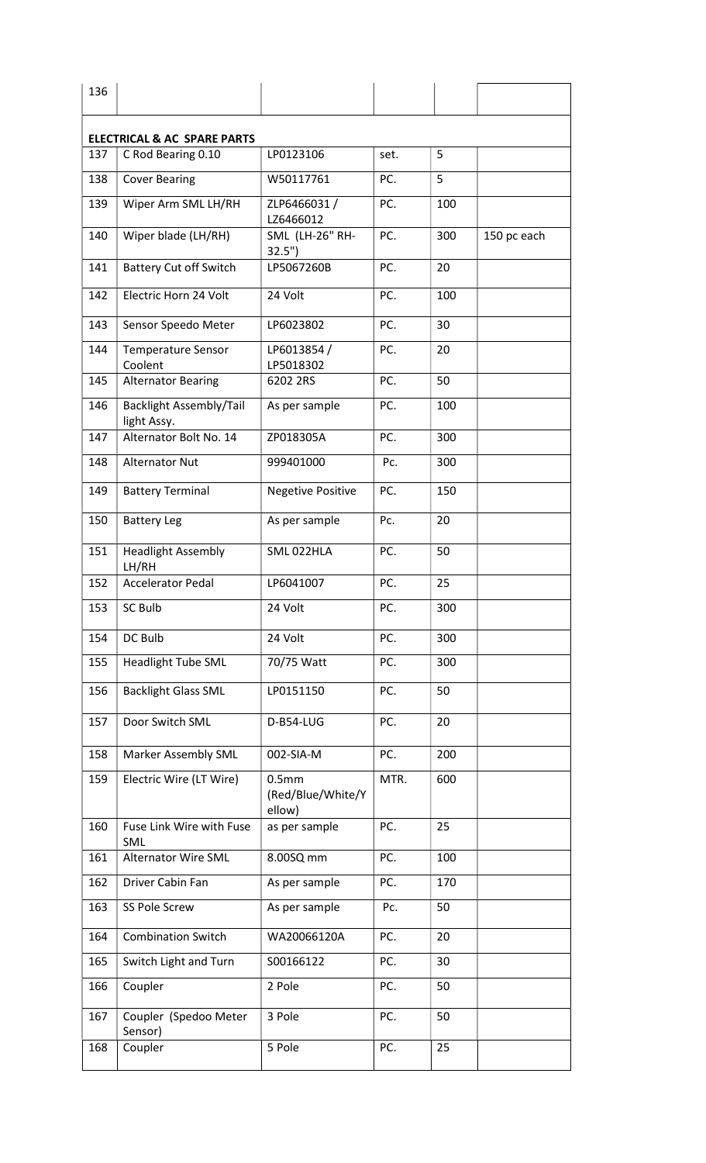|     | <b>ELECTRICAL &amp; AC SPARE PARTS</b>        |                                                  |      |     |             |
|-----|-----------------------------------------------|--------------------------------------------------|------|-----|-------------|
| 137 | C Rod Bearing 0.10                            | LP0123106                                        | set. | 5   |             |
| 138 | <b>Cover Bearing</b>                          | W50117761                                        | PC.  | 5   |             |
| 139 | Wiper Arm SML LH/RH                           | ZLP6466031/<br>LZ6466012                         | PC.  | 100 |             |
| 140 | Wiper blade (LH/RH)                           | <b>SML (LH-26" RH-</b><br>32.5"                  | PC.  | 300 | 150 pc each |
| 141 | <b>Battery Cut off Switch</b>                 | LP5067260B                                       | PC.  | 20  |             |
| 142 | Electric Horn 24 Volt                         | 24 Volt                                          | PC.  | 100 |             |
| 143 | Sensor Speedo Meter                           | LP6023802                                        | PC.  | 30  |             |
| 144 | <b>Temperature Sensor</b><br>Coolent          | LP6013854 /<br>LP5018302                         | PC.  | 20  |             |
| 145 | <b>Alternator Bearing</b>                     | 6202 2RS                                         | PC.  | 50  |             |
| 146 | <b>Backlight Assembly/Tail</b><br>light Assy. | As per sample                                    | PC.  | 100 |             |
| 147 | Alternator Bolt No. 14                        | ZP018305A                                        | PC.  | 300 |             |
| 148 | <b>Alternator Nut</b>                         | 999401000                                        | Pc.  | 300 |             |
| 149 | <b>Battery Terminal</b>                       | <b>Negetive Positive</b>                         | PC.  | 150 |             |
| 150 | <b>Battery Leg</b>                            | As per sample                                    | Pc.  | 20  |             |
| 151 | <b>Headlight Assembly</b><br>LH/RH            | SML 022HLA                                       | PC.  | 50  |             |
| 152 | <b>Accelerator Pedal</b>                      | LP6041007                                        | PC.  | 25  |             |
| 153 | SC Bulb                                       | 24 Volt                                          | PC.  | 300 |             |
| 154 | DC Bulb                                       | 24 Volt                                          | PC.  | 300 |             |
| 155 | <b>Headlight Tube SML</b>                     | 70/75 Watt                                       | PC.  | 300 |             |
| 156 | <b>Backlight Glass SML</b>                    | LP0151150                                        | PC.  | 50  |             |
| 157 | Door Switch SML                               | D-B54-LUG                                        | PC.  | 20  |             |
| 158 | Marker Assembly SML                           | 002-SIA-M                                        | PC.  | 200 |             |
| 159 | Electric Wire (LT Wire)                       | 0.5 <sub>mm</sub><br>(Red/Blue/White/Y<br>ellow) | MTR. | 600 |             |
| 160 | Fuse Link Wire with Fuse<br>SML               | as per sample                                    | PC.  | 25  |             |
| 161 | <b>Alternator Wire SML</b>                    | 8.00SQ mm                                        | PC.  | 100 |             |
| 162 | Driver Cabin Fan                              | As per sample                                    | PC.  | 170 |             |
| 163 | SS Pole Screw                                 | As per sample                                    | Pc.  | 50  |             |
| 164 | <b>Combination Switch</b>                     | WA20066120A                                      | PC.  | 20  |             |
| 165 | Switch Light and Turn                         | S00166122                                        | PC.  | 30  |             |
|     | Coupler                                       | 2 Pole                                           | PC.  | 50  |             |
| 166 |                                               |                                                  |      |     |             |
| 167 | Coupler (Spedoo Meter<br>Sensor)              | 3 Pole                                           | PC.  | 50  |             |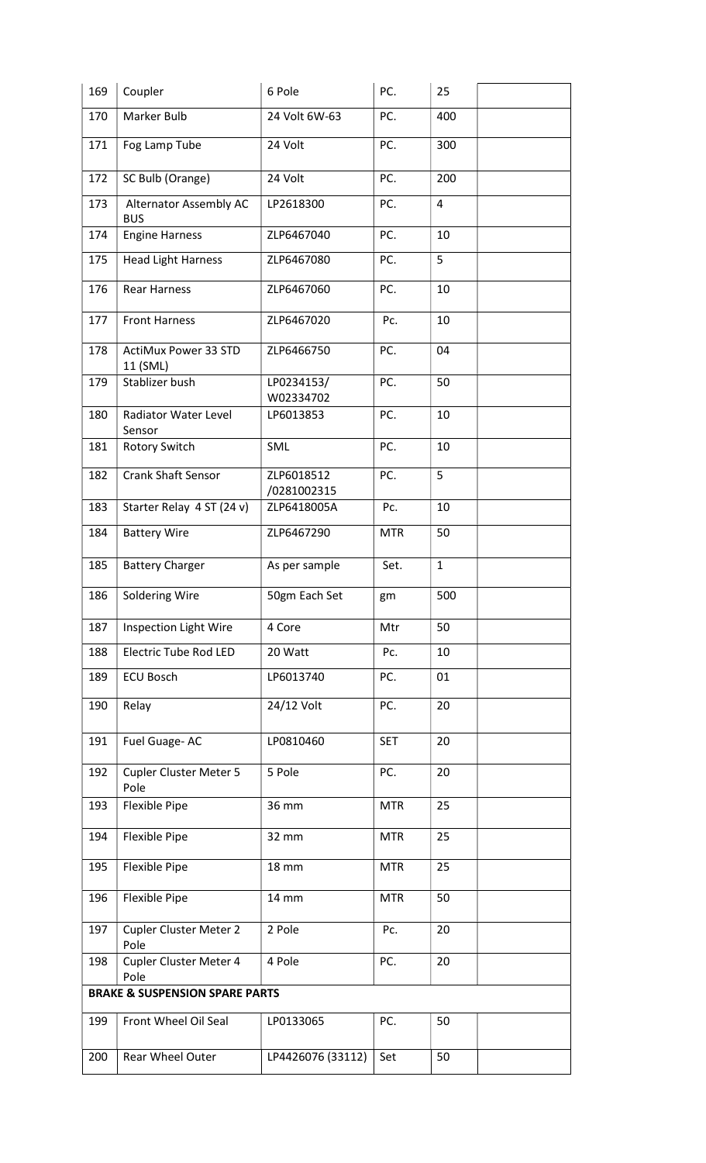| Marker Bulb<br>170<br>24 Volt 6W-63<br>PC.<br>400<br>171<br>Fog Lamp Tube<br>24 Volt<br>PC.<br>300<br>PC.<br>172<br>SC Bulb (Orange)<br>24 Volt<br>200<br>PC.<br>4<br>173<br>Alternator Assembly AC<br>LP2618300<br><b>BUS</b><br>174<br><b>Engine Harness</b><br>ZLP6467040<br>PC.<br>10<br>5<br>PC.<br>175<br><b>Head Light Harness</b><br>ZLP6467080<br>176<br><b>Rear Harness</b><br>PC.<br>10<br>ZLP6467060<br>177<br><b>Front Harness</b><br>ZLP6467020<br>Pc.<br>10<br>178<br><b>ActiMux Power 33 STD</b><br>PC.<br>ZLP6466750<br>04<br>11 (SML)<br>Stablizer bush<br>PC.<br>179<br>LP0234153/<br>50<br>W02334702<br><b>Radiator Water Level</b><br>PC.<br>180<br>LP6013853<br>10<br>Sensor<br>PC.<br>10<br>181<br><b>Rotory Switch</b><br><b>SML</b><br><b>Crank Shaft Sensor</b><br>5<br>182<br>ZLP6018512<br>PC.<br>/0281002315<br>183<br>Starter Relay 4 ST (24 v)<br>Pc.<br>10<br>ZLP6418005A<br>ZLP6467290<br><b>Battery Wire</b><br><b>MTR</b><br>50<br>184<br>$\mathbf{1}$<br>185<br><b>Battery Charger</b><br>As per sample<br>Set.<br>Soldering Wire<br>50gm Each Set<br>186<br>500<br>gm<br><b>Inspection Light Wire</b><br>4 Core<br>50<br>187<br>Mtr<br><b>Electric Tube Rod LED</b><br>188<br>10<br>20 Watt<br>Pc.<br><b>ECU Bosch</b><br>01<br>189<br>LP6013740<br>PC.<br>24/12 Volt<br>190<br>PC.<br>20<br>Relay<br>191<br><b>SET</b><br>20<br>Fuel Guage-AC<br>LP0810460<br>192<br>Cupler Cluster Meter 5<br>5 Pole<br>PC.<br>20<br>Pole<br><b>Flexible Pipe</b><br>36 mm<br><b>MTR</b><br>25<br>193<br>Flexible Pipe<br><b>MTR</b><br>25<br>194<br>32 mm<br>Flexible Pipe<br>195<br><b>MTR</b><br>25<br><b>18 mm</b><br>Flexible Pipe<br><b>MTR</b><br>50<br>196<br>14 mm<br>2 Pole<br>20<br>197<br><b>Cupler Cluster Meter 2</b><br>Pc.<br>Pole<br>Cupler Cluster Meter 4<br>PC.<br>198<br>4 Pole<br>20<br>Pole<br><b>BRAKE &amp; SUSPENSION SPARE PARTS</b><br>199<br>Front Wheel Oil Seal<br>PC.<br>50<br>LP0133065<br>LP4426076 (33112)<br>50<br>200<br>Rear Wheel Outer<br>Set | 169 | Coupler | 6 Pole | PC. | 25 |
|--------------------------------------------------------------------------------------------------------------------------------------------------------------------------------------------------------------------------------------------------------------------------------------------------------------------------------------------------------------------------------------------------------------------------------------------------------------------------------------------------------------------------------------------------------------------------------------------------------------------------------------------------------------------------------------------------------------------------------------------------------------------------------------------------------------------------------------------------------------------------------------------------------------------------------------------------------------------------------------------------------------------------------------------------------------------------------------------------------------------------------------------------------------------------------------------------------------------------------------------------------------------------------------------------------------------------------------------------------------------------------------------------------------------------------------------------------------------------------------------------------------------------------------------------------------------------------------------------------------------------------------------------------------------------------------------------------------------------------------------------------------------------------------------------------------------------------------------------------------------------------------------------------------------------------------------------------------------------------------------------------------|-----|---------|--------|-----|----|
|                                                                                                                                                                                                                                                                                                                                                                                                                                                                                                                                                                                                                                                                                                                                                                                                                                                                                                                                                                                                                                                                                                                                                                                                                                                                                                                                                                                                                                                                                                                                                                                                                                                                                                                                                                                                                                                                                                                                                                                                              |     |         |        |     |    |
|                                                                                                                                                                                                                                                                                                                                                                                                                                                                                                                                                                                                                                                                                                                                                                                                                                                                                                                                                                                                                                                                                                                                                                                                                                                                                                                                                                                                                                                                                                                                                                                                                                                                                                                                                                                                                                                                                                                                                                                                              |     |         |        |     |    |
|                                                                                                                                                                                                                                                                                                                                                                                                                                                                                                                                                                                                                                                                                                                                                                                                                                                                                                                                                                                                                                                                                                                                                                                                                                                                                                                                                                                                                                                                                                                                                                                                                                                                                                                                                                                                                                                                                                                                                                                                              |     |         |        |     |    |
|                                                                                                                                                                                                                                                                                                                                                                                                                                                                                                                                                                                                                                                                                                                                                                                                                                                                                                                                                                                                                                                                                                                                                                                                                                                                                                                                                                                                                                                                                                                                                                                                                                                                                                                                                                                                                                                                                                                                                                                                              |     |         |        |     |    |
|                                                                                                                                                                                                                                                                                                                                                                                                                                                                                                                                                                                                                                                                                                                                                                                                                                                                                                                                                                                                                                                                                                                                                                                                                                                                                                                                                                                                                                                                                                                                                                                                                                                                                                                                                                                                                                                                                                                                                                                                              |     |         |        |     |    |
|                                                                                                                                                                                                                                                                                                                                                                                                                                                                                                                                                                                                                                                                                                                                                                                                                                                                                                                                                                                                                                                                                                                                                                                                                                                                                                                                                                                                                                                                                                                                                                                                                                                                                                                                                                                                                                                                                                                                                                                                              |     |         |        |     |    |
|                                                                                                                                                                                                                                                                                                                                                                                                                                                                                                                                                                                                                                                                                                                                                                                                                                                                                                                                                                                                                                                                                                                                                                                                                                                                                                                                                                                                                                                                                                                                                                                                                                                                                                                                                                                                                                                                                                                                                                                                              |     |         |        |     |    |
|                                                                                                                                                                                                                                                                                                                                                                                                                                                                                                                                                                                                                                                                                                                                                                                                                                                                                                                                                                                                                                                                                                                                                                                                                                                                                                                                                                                                                                                                                                                                                                                                                                                                                                                                                                                                                                                                                                                                                                                                              |     |         |        |     |    |
|                                                                                                                                                                                                                                                                                                                                                                                                                                                                                                                                                                                                                                                                                                                                                                                                                                                                                                                                                                                                                                                                                                                                                                                                                                                                                                                                                                                                                                                                                                                                                                                                                                                                                                                                                                                                                                                                                                                                                                                                              |     |         |        |     |    |
|                                                                                                                                                                                                                                                                                                                                                                                                                                                                                                                                                                                                                                                                                                                                                                                                                                                                                                                                                                                                                                                                                                                                                                                                                                                                                                                                                                                                                                                                                                                                                                                                                                                                                                                                                                                                                                                                                                                                                                                                              |     |         |        |     |    |
|                                                                                                                                                                                                                                                                                                                                                                                                                                                                                                                                                                                                                                                                                                                                                                                                                                                                                                                                                                                                                                                                                                                                                                                                                                                                                                                                                                                                                                                                                                                                                                                                                                                                                                                                                                                                                                                                                                                                                                                                              |     |         |        |     |    |
|                                                                                                                                                                                                                                                                                                                                                                                                                                                                                                                                                                                                                                                                                                                                                                                                                                                                                                                                                                                                                                                                                                                                                                                                                                                                                                                                                                                                                                                                                                                                                                                                                                                                                                                                                                                                                                                                                                                                                                                                              |     |         |        |     |    |
|                                                                                                                                                                                                                                                                                                                                                                                                                                                                                                                                                                                                                                                                                                                                                                                                                                                                                                                                                                                                                                                                                                                                                                                                                                                                                                                                                                                                                                                                                                                                                                                                                                                                                                                                                                                                                                                                                                                                                                                                              |     |         |        |     |    |
|                                                                                                                                                                                                                                                                                                                                                                                                                                                                                                                                                                                                                                                                                                                                                                                                                                                                                                                                                                                                                                                                                                                                                                                                                                                                                                                                                                                                                                                                                                                                                                                                                                                                                                                                                                                                                                                                                                                                                                                                              |     |         |        |     |    |
|                                                                                                                                                                                                                                                                                                                                                                                                                                                                                                                                                                                                                                                                                                                                                                                                                                                                                                                                                                                                                                                                                                                                                                                                                                                                                                                                                                                                                                                                                                                                                                                                                                                                                                                                                                                                                                                                                                                                                                                                              |     |         |        |     |    |
|                                                                                                                                                                                                                                                                                                                                                                                                                                                                                                                                                                                                                                                                                                                                                                                                                                                                                                                                                                                                                                                                                                                                                                                                                                                                                                                                                                                                                                                                                                                                                                                                                                                                                                                                                                                                                                                                                                                                                                                                              |     |         |        |     |    |
|                                                                                                                                                                                                                                                                                                                                                                                                                                                                                                                                                                                                                                                                                                                                                                                                                                                                                                                                                                                                                                                                                                                                                                                                                                                                                                                                                                                                                                                                                                                                                                                                                                                                                                                                                                                                                                                                                                                                                                                                              |     |         |        |     |    |
|                                                                                                                                                                                                                                                                                                                                                                                                                                                                                                                                                                                                                                                                                                                                                                                                                                                                                                                                                                                                                                                                                                                                                                                                                                                                                                                                                                                                                                                                                                                                                                                                                                                                                                                                                                                                                                                                                                                                                                                                              |     |         |        |     |    |
|                                                                                                                                                                                                                                                                                                                                                                                                                                                                                                                                                                                                                                                                                                                                                                                                                                                                                                                                                                                                                                                                                                                                                                                                                                                                                                                                                                                                                                                                                                                                                                                                                                                                                                                                                                                                                                                                                                                                                                                                              |     |         |        |     |    |
|                                                                                                                                                                                                                                                                                                                                                                                                                                                                                                                                                                                                                                                                                                                                                                                                                                                                                                                                                                                                                                                                                                                                                                                                                                                                                                                                                                                                                                                                                                                                                                                                                                                                                                                                                                                                                                                                                                                                                                                                              |     |         |        |     |    |
|                                                                                                                                                                                                                                                                                                                                                                                                                                                                                                                                                                                                                                                                                                                                                                                                                                                                                                                                                                                                                                                                                                                                                                                                                                                                                                                                                                                                                                                                                                                                                                                                                                                                                                                                                                                                                                                                                                                                                                                                              |     |         |        |     |    |
|                                                                                                                                                                                                                                                                                                                                                                                                                                                                                                                                                                                                                                                                                                                                                                                                                                                                                                                                                                                                                                                                                                                                                                                                                                                                                                                                                                                                                                                                                                                                                                                                                                                                                                                                                                                                                                                                                                                                                                                                              |     |         |        |     |    |
|                                                                                                                                                                                                                                                                                                                                                                                                                                                                                                                                                                                                                                                                                                                                                                                                                                                                                                                                                                                                                                                                                                                                                                                                                                                                                                                                                                                                                                                                                                                                                                                                                                                                                                                                                                                                                                                                                                                                                                                                              |     |         |        |     |    |
|                                                                                                                                                                                                                                                                                                                                                                                                                                                                                                                                                                                                                                                                                                                                                                                                                                                                                                                                                                                                                                                                                                                                                                                                                                                                                                                                                                                                                                                                                                                                                                                                                                                                                                                                                                                                                                                                                                                                                                                                              |     |         |        |     |    |
|                                                                                                                                                                                                                                                                                                                                                                                                                                                                                                                                                                                                                                                                                                                                                                                                                                                                                                                                                                                                                                                                                                                                                                                                                                                                                                                                                                                                                                                                                                                                                                                                                                                                                                                                                                                                                                                                                                                                                                                                              |     |         |        |     |    |
|                                                                                                                                                                                                                                                                                                                                                                                                                                                                                                                                                                                                                                                                                                                                                                                                                                                                                                                                                                                                                                                                                                                                                                                                                                                                                                                                                                                                                                                                                                                                                                                                                                                                                                                                                                                                                                                                                                                                                                                                              |     |         |        |     |    |
|                                                                                                                                                                                                                                                                                                                                                                                                                                                                                                                                                                                                                                                                                                                                                                                                                                                                                                                                                                                                                                                                                                                                                                                                                                                                                                                                                                                                                                                                                                                                                                                                                                                                                                                                                                                                                                                                                                                                                                                                              |     |         |        |     |    |
|                                                                                                                                                                                                                                                                                                                                                                                                                                                                                                                                                                                                                                                                                                                                                                                                                                                                                                                                                                                                                                                                                                                                                                                                                                                                                                                                                                                                                                                                                                                                                                                                                                                                                                                                                                                                                                                                                                                                                                                                              |     |         |        |     |    |
|                                                                                                                                                                                                                                                                                                                                                                                                                                                                                                                                                                                                                                                                                                                                                                                                                                                                                                                                                                                                                                                                                                                                                                                                                                                                                                                                                                                                                                                                                                                                                                                                                                                                                                                                                                                                                                                                                                                                                                                                              |     |         |        |     |    |
|                                                                                                                                                                                                                                                                                                                                                                                                                                                                                                                                                                                                                                                                                                                                                                                                                                                                                                                                                                                                                                                                                                                                                                                                                                                                                                                                                                                                                                                                                                                                                                                                                                                                                                                                                                                                                                                                                                                                                                                                              |     |         |        |     |    |
|                                                                                                                                                                                                                                                                                                                                                                                                                                                                                                                                                                                                                                                                                                                                                                                                                                                                                                                                                                                                                                                                                                                                                                                                                                                                                                                                                                                                                                                                                                                                                                                                                                                                                                                                                                                                                                                                                                                                                                                                              |     |         |        |     |    |
|                                                                                                                                                                                                                                                                                                                                                                                                                                                                                                                                                                                                                                                                                                                                                                                                                                                                                                                                                                                                                                                                                                                                                                                                                                                                                                                                                                                                                                                                                                                                                                                                                                                                                                                                                                                                                                                                                                                                                                                                              |     |         |        |     |    |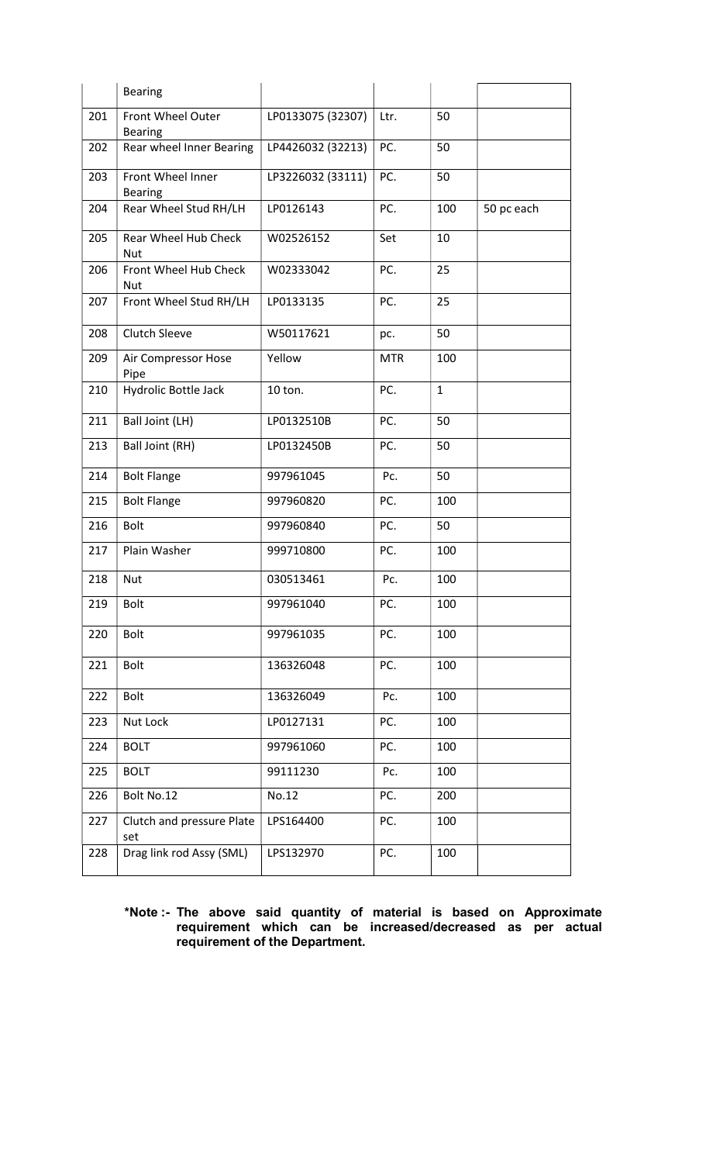|     | <b>Bearing</b>                      |                   |            |              |            |
|-----|-------------------------------------|-------------------|------------|--------------|------------|
| 201 | Front Wheel Outer<br><b>Bearing</b> | LP0133075 (32307) | Ltr.       | 50           |            |
| 202 | Rear wheel Inner Bearing            | LP4426032 (32213) | PC.        | 50           |            |
| 203 | Front Wheel Inner<br><b>Bearing</b> | LP3226032 (33111) | PC.        | 50           |            |
| 204 | Rear Wheel Stud RH/LH               | LP0126143         | PC.        | 100          | 50 pc each |
| 205 | Rear Wheel Hub Check<br><b>Nut</b>  | W02526152         | Set        | 10           |            |
| 206 | Front Wheel Hub Check<br>Nut        | W02333042         | PC.        | 25           |            |
| 207 | Front Wheel Stud RH/LH              | LP0133135         | PC.        | 25           |            |
| 208 | <b>Clutch Sleeve</b>                | W50117621         | pc.        | 50           |            |
| 209 | Air Compressor Hose<br>Pipe         | Yellow            | <b>MTR</b> | 100          |            |
| 210 | Hydrolic Bottle Jack                | 10 ton.           | PC.        | $\mathbf{1}$ |            |
| 211 | Ball Joint (LH)                     | LP0132510B        | PC.        | 50           |            |
| 213 | Ball Joint (RH)                     | LP0132450B        | PC.        | 50           |            |
| 214 | <b>Bolt Flange</b>                  | 997961045         | Pc.        | 50           |            |
| 215 | <b>Bolt Flange</b>                  | 997960820         | PC.        | 100          |            |
| 216 | <b>Bolt</b>                         | 997960840         | PC.        | 50           |            |
| 217 | Plain Washer                        | 999710800         | PC.        | 100          |            |
| 218 | Nut                                 | 030513461         | Pc.        | 100          |            |
| 219 | <b>Bolt</b>                         | 997961040         | PC.        | 100          |            |
| 220 | <b>Bolt</b>                         | 997961035         | PC.        | 100          |            |
| 221 | <b>Bolt</b>                         | 136326048         | PC.        | 100          |            |
| 222 | <b>Bolt</b>                         | 136326049         | Pc.        | 100          |            |
| 223 | Nut Lock                            | LP0127131         | PC.        | 100          |            |
| 224 | <b>BOLT</b>                         | 997961060         | PC.        | 100          |            |
| 225 | <b>BOLT</b>                         | 99111230          | Pc.        | 100          |            |
| 226 | Bolt No.12                          | No.12             | PC.        | 200          |            |
| 227 | Clutch and pressure Plate<br>set    | LPS164400         | PC.        | 100          |            |
| 228 | Drag link rod Assy (SML)            | LPS132970         | PC.        | 100          |            |

#### \*Note :- The above said quantity of material is based on Approximate requirement which can be increased/decreased as per actual requirement of the Department.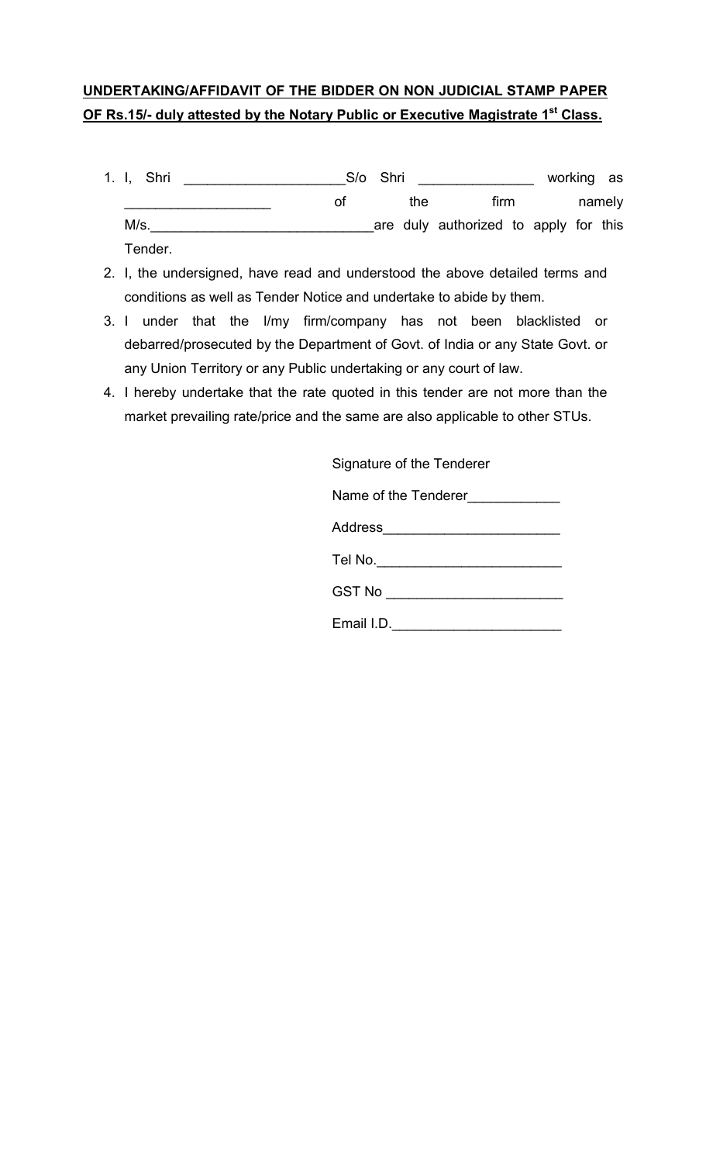# UNDERTAKING/AFFIDAVIT OF THE BIDDER ON NON JUDICIAL STAMP PAPER OF Rs.15/- duly attested by the Notary Public or Executive Magistrate 1<sup>st</sup> Class.

- 1. I, Shri \_\_\_\_\_\_\_\_\_\_\_\_\_\_\_\_\_\_\_\_\_S/o Shri \_\_\_\_\_\_\_\_\_\_\_\_\_\_\_ working as \_\_\_\_\_\_\_\_\_\_\_\_\_\_\_\_\_\_\_ of the firm namely M/s.\_\_\_\_\_\_\_\_\_\_\_\_\_\_\_\_\_\_\_\_\_\_\_\_\_\_\_\_\_are duly authorized to apply for this Tender.
- 2. I, the undersigned, have read and understood the above detailed terms and conditions as well as Tender Notice and undertake to abide by them.
- 3. I under that the I/my firm/company has not been blacklisted or debarred/prosecuted by the Department of Govt. of India or any State Govt. or any Union Territory or any Public undertaking or any court of law.
- 4. I hereby undertake that the rate quoted in this tender are not more than the market prevailing rate/price and the same are also applicable to other STUs.

Signature of the Tenderer

Name of the Tenderer\_\_\_\_\_\_\_\_\_\_\_\_\_

| Address |
|---------|
| Tel No. |

GST No \_\_\_\_\_\_\_\_\_\_\_\_\_\_\_\_\_\_\_\_\_\_\_\_\_\_\_\_\_

Email I.D.\_\_\_\_\_\_\_\_\_\_\_\_\_\_\_\_\_\_\_\_\_\_